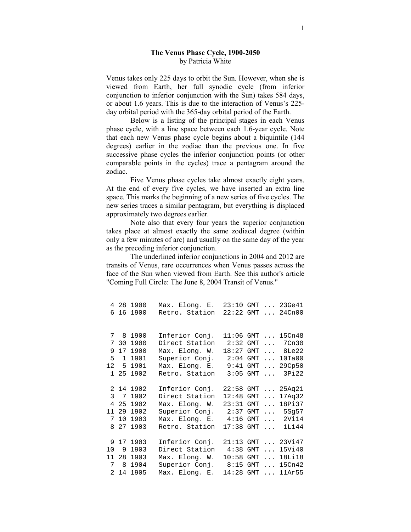## The Venus Phase Cycle, 1900-2050 by Patricia White

Venus takes only 225 days to orbit the Sun. However, when she is viewed from Earth, her full synodic cycle (from inferior conjunction to inferior conjunction with the Sun) takes 584 days, or about 1.6 years. This is due to the interaction of Venus's 225 day orbital period with the 365-day orbital period of the Earth.

 Below is a listing of the principal stages in each Venus phase cycle, with a line space between each 1.6-year cycle. Note that each new Venus phase cycle begins about a biquintile (144 degrees) earlier in the zodiac than the previous one. In five successive phase cycles the inferior conjunction points (or other comparable points in the cycles) trace a pentagram around the zodiac.

Five Venus phase cycles take almost exactly eight years. At the end of every five cycles, we have inserted an extra line space. This marks the beginning of a new series of five cycles. The new series traces a similar pentagram, but everything is displaced approximately two degrees earlier.

Note also that every four years the superior conjunction takes place at almost exactly the same zodiacal degree (within only a few minutes of arc) and usually on the same day of the year as the preceding inferior conjunction.

The underlined inferior conjunctions in 2004 and 2012 are transits of Venus, rare occurrences when Venus passes across the face of the Sun when viewed from Earth. See this author's article "Coming Full Circle: The June 8, 2004 Transit of Venus."

 4 28 1900 Max. Elong. E. 23:10 GMT ... 23Ge41 6 16 1900 Retro. Station 22:22 GMT ... 24Cn00 7 8 1900 Inferior Conj. 11:06 GMT ... 15Cn48 7 30 1900 Direct Station 2:32 GMT ... 7Cn30 9 17 1900 Max. Elong. W. 18:27 GMT ... 8Le22 5 1 1901 Superior Conj. 2:04 GMT ... 10Ta00 12 5 1901 Max. Elong. E. 9:41 GMT ... 29Cp50 1 25 1902 Retro. Station 3:05 GMT ... 3Pi22 2 14 1902 Inferior Conj. 22:58 GMT ... 25Aq21 Direct Station 12:48 GMT ... 17Aq32 4 25 1902 Max. Elong. W. 23:31 GMT ... 18Pi37 11 29 1902 Superior Conj. 2:37 GMT ... 5Sg57 7 10 1903 Max. Elong. E. 4:16 GMT ... 2Vi14 8 27 1903 Retro. Station 17:38 GMT ... 1Li44 9 17 1903 Inferior Conj. 21:13 GMT ... 23Vi47 10 9 1903 Direct Station 4:38 GMT ... 15Vi40 11 28 1903 Max. Elong. W. 10:58 GMT ... 18Li18 7 8 1904 Superior Conj. 8:15 GMT ... 15Cn42 Max. Elong. E. 14:28 GMT ... 11Ar55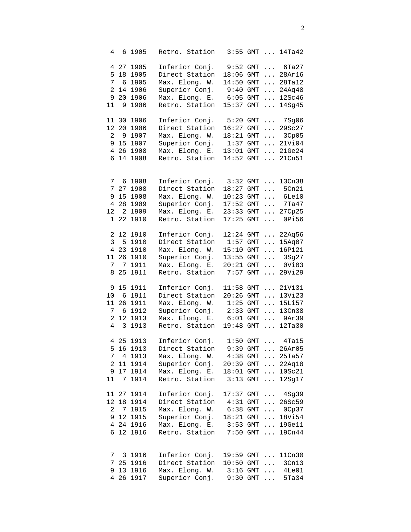| 4              |                 | 6 1905     | Retro. Station                                                    |                     |            |                                               | 3:55 GMT  14Ta42    |
|----------------|-----------------|------------|-------------------------------------------------------------------|---------------------|------------|-----------------------------------------------|---------------------|
|                |                 | 4 27 1905  | Inferior Conj.                                                    |                     |            |                                               | 9:52 GMT  6Ta27     |
| 5              |                 | 18 1905    | Direct Station                                                    | 18:06 GMT           |            |                                               | $\ldots$ 28Ar16     |
| 7              |                 | 6 1905     | Max. Elong. W.                                                    | 14:50               | GMT        | $\cdots$                                      | 28Ta12              |
| $\overline{a}$ |                 |            |                                                                   | $9:40$ GMT          |            |                                               |                     |
|                |                 | 14 1906    | Superior Conj.                                                    |                     |            |                                               | $\ldots$ 24Aq48     |
| 9              | 20 <sub>o</sub> | 1906       | Max. Elong. E.                                                    | 6:05                | GMT        | $\ldots$                                      | 12Sc46              |
| 11             | 9               | 1906       | Retro. Station                                                    | 15:37               | GMT        | $\ldots$                                      | 14Sg45              |
|                |                 | 11 30 1906 | Inferior Conj.                                                    | $5:20$ GMT          |            |                                               | $\ldots$ 7Sg06      |
| 12             |                 | 20 1906    | Direct Station                                                    | 16:27 GMT           |            | $\cdots$                                      | 29Sc27              |
| $\overline{a}$ |                 | 9 1907     | Max. Elong. W.                                                    | 18:21 GMT           |            |                                               | $\ldots$ 3Cp05      |
|                |                 | 9 15 1907  | Superior Conj.                                                    | $1:37$ GMT          |            |                                               | $\ldots$ 21Vi04     |
|                |                 | 4 26 1908  | Max. Elong. E.                                                    | $13:01$ GMT         |            |                                               | $\ldots$ 21Ge24     |
| 6              |                 | 14 1908    | Retro. Station                                                    |                     |            |                                               | 14:52 GMT  21Cn51   |
|                |                 |            |                                                                   |                     |            |                                               |                     |
|                |                 | 7 6 1908   | Inferior Conj.                                                    | $3:32$ GMT          |            | $\cdots$                                      | 13Cn38              |
| 7              |                 | 27 1908    | Direct Station                                                    | 18:27 GMT           |            | $\ddots$                                      | 5Cn21               |
|                |                 | 9 15 1908  | Max. Elong. W.                                                    | $10:23$ GMT         |            | $\cdots$                                      | 6Le10               |
| $\overline{4}$ |                 | 28 1909    | Superior Conj.                                                    | $17:52$ GMT         |            | $\dddot{\phantom{0}}$                         | 7Ta47               |
| 12             |                 | 2 1909     | Max. Elong. E.                                                    | 23:33               | GMT        | $\cdots$                                      | 27Cp25              |
| $\mathbf{1}$   | 22              | 1910       | Retro. Station                                                    | 17:25               | GMT        | $\ddots$                                      | 0Pi56               |
|                |                 | 2 12 1910  | Inferior Conj.                                                    | 12:24               | GMT        | $\cdots$                                      | 22Aq56              |
| 3 <sup>7</sup> |                 | 5 1910     | Direct Station                                                    | 1:57                | GMT        | $\cdots$                                      | 15Aq07              |
|                |                 | 4 23 1910  | Max. Elong. W.                                                    | 15:10               | GMT        | $\cdots$                                      | 16Pi21              |
| 11             |                 | 26 1910    | Superior Conj.                                                    | 13:55 GMT           |            | $\cdots$                                      | 3Sg27               |
| 7              |                 |            |                                                                   |                     |            |                                               |                     |
|                | 7               | 1911       | Max. Elong. E.                                                    | 20:21               | GMT        |                                               | $\ldots$ 0Vi03      |
| 8              | 25              | 1911       | Retro. Station                                                    | 7:57                | <b>GMT</b> | $\cdots$                                      | 29Vi29              |
|                |                 | 9 15 1911  | Inferior Conj.                                                    | $11:58$ GMT         |            | $\cdots$                                      | 21Vi31              |
| $10 \,$        |                 | 6 1911     | Direct Station                                                    | $20:26$ GMT         |            | $\cdots$                                      | 13Vi23              |
|                |                 | 11 26 1911 | Max. Elong. W.                                                    | 1:25                | GMT        | $\ldots$                                      | 15Li57              |
| 7              |                 | 6 1912     | Superior Conj.                                                    | 2:33                | GMT        | $\cdots$                                      | 13Cn38              |
| $\overline{a}$ |                 | 12 1913    | Max. Elong. E.                                                    | 6:01                | GMT        |                                               | $\ldots$ 9Ar39      |
| $\overline{4}$ | 3               | 1913       | Retro. Station                                                    | 19:48               | GMT        |                                               | $\ldots$ 12Ta30     |
|                |                 | 4 25 1913  | Inferior Conj. 1:50 GMT  4Ta15                                    |                     |            |                                               |                     |
|                |                 | 5 16 1913  | Direct Station 9:39 GMT                                           |                     |            |                                               | 26Ar05              |
|                |                 | 7 4 1913   | Max. Elong. W. 4:38 GMT  25Ta57                                   |                     |            |                                               |                     |
|                |                 | 2 11 1914  | Superior Conj. 20:39 GMT  22Aq18                                  |                     |            |                                               |                     |
|                |                 | 9 17 1914  | Max. Elong. E.                                                    |                     |            |                                               | 18:01 GMT  10Sc21   |
| 11             |                 | 7 1914     | Retro. Station 3:13 GMT  12Sg17                                   |                     |            |                                               |                     |
|                |                 | 11 27 1914 | Inferior Conj.                                                    |                     |            |                                               | 17:37 GMT  4Sg39    |
|                |                 | 12 18 1914 | Direct Station                                                    |                     |            |                                               |                     |
|                |                 | 2 7 1915   | Direct Station 4:31 GMT  26Sc59<br>Max. Elong. W. 6:38 GMT  0Cp37 |                     |            |                                               |                     |
|                |                 | 9 12 1915  | Superior Conj.                                                    |                     |            |                                               | 18:21 GMT  18Vi54   |
|                |                 | 4 24 1916  | Max. Elong. E. 3:53 GMT  19Ge11                                   |                     |            |                                               |                     |
|                |                 |            |                                                                   |                     |            |                                               |                     |
|                |                 | 6 12 1916  | Retro. Station 7:50 GMT  19Cn44                                   |                     |            |                                               |                     |
|                |                 | 7 3 1916   | Inferior Conj.                                                    |                     |            |                                               | 19:59 GMT  11Cn30   |
|                |                 | 7 25 1916  | Direct Station                                                    | $10:50$ GMT         |            | $\mathbb{E}[\mathbf{r},\mathbf{r}^{\dagger}]$ | 3Cn13               |
|                |                 | 9 13 1916  | Max. Elong. W.                                                    |                     |            |                                               |                     |
|                |                 | 4 26 1917  |                                                                   |                     |            |                                               | $3:16$ GMT $4$ Le01 |
|                |                 |            | Superior Conj.                                                    | $9:30$ GMT $\ldots$ |            |                                               | 5Ta34               |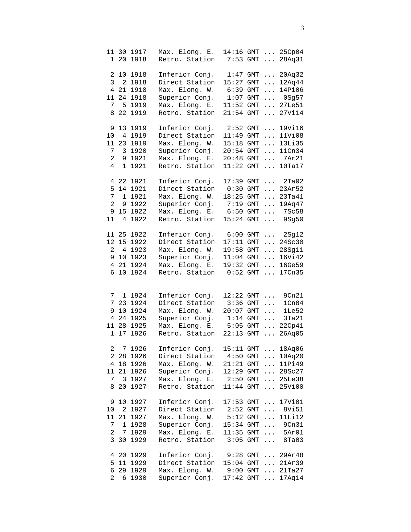| $\mathbf{1}$   |                | 11 30 1917<br>20 1918 | Max. Elong. E.<br>Retro. Station                                    |             |       |          | 14:16 GMT  25Cp04<br>7:53 GMT  28Aq31 |
|----------------|----------------|-----------------------|---------------------------------------------------------------------|-------------|-------|----------|---------------------------------------|
|                |                |                       |                                                                     |             |       |          |                                       |
|                |                | 2 10 1918             | Inferior Conj.                                                      | 1:47        |       | $GMT$    | 20Aq32                                |
|                |                | 3 2 1918              | Direct Station                                                      | 15:27       |       | $GMT$    | 12Aq44                                |
|                |                | 4 21 1918             | Max. Elong. W.                                                      | 6:39        |       | $GMT$    | 14Pi06                                |
|                |                | 11 24 1918            | Superior Conj.                                                      | 1:07        | GMT   |          | $\ldots$ 0Sg57                        |
| 7              |                | 5 1919                | Max. Elong. E.                                                      | 11:52       | GMT   |          | $\ldots$ 27Le51                       |
| 8              |                | 22 1919               | Retro. Station                                                      | 21:54       | GMT   |          | $\ldots$ 27Vi14                       |
|                |                | 9 13 1919             | Inferior Conj.                                                      |             |       |          | 2:52 GMT  19Vi16                      |
| 10             |                | 4 1919                | Direct Station                                                      | 11:49       |       |          | GMT  11Vi08                           |
|                |                | 11 23 1919            | Max. Elong. W.                                                      | 15:18       |       |          | GMT  13Li35                           |
| 7 <sup>7</sup> |                | 3 1920                | Superior Conj.                                                      | 20:54       | $GMT$ |          | 11Cn34                                |
| $\overline{a}$ |                | 9 1921                | Max. Elong. E.                                                      | 20:48       |       |          | GMT  7Ar21                            |
| 4              | $\mathbf{1}$   | 1921                  | Retro. Station                                                      | 11:22       |       |          | GMT  10Ta17                           |
| 4              |                | 22 1921               | Inferior Conj.                                                      |             |       |          | 17:39 GMT  2Ta02                      |
| 5              |                | 14 1921               | Direct Station                                                      |             |       |          | $0:30$ GMT  23Ar52                    |
| 7              |                | 1 1921                | Max. Elong. W.                                                      | $18:25$ GMT |       |          | 23Ta41                                |
| $\overline{2}$ | 9              | 1922                  | Superior Conj.                                                      | 7:19        | $GMT$ |          | 19Aq47                                |
| 9              | 15             | 1922                  | Max. Elong. E.                                                      | 6:50        |       |          | GMT  7Sc58                            |
| 11             | 4              | 1922                  | Retro. Station                                                      | 15:24       |       |          |                                       |
|                |                |                       |                                                                     |             | $GMT$ |          | 9Sg50                                 |
|                |                | 11 25 1922            | Inferior Conj.                                                      | $6:00$ GMT  |       |          | $\ldots$ 2Sg12                        |
|                | 12 15          | 1922                  | Direct Station                                                      | $17:11$ GMT |       |          | $\ldots 24$ Sc30                      |
| $\mathbf{2}$   | $\overline{4}$ | 1923                  | Max. Elong. W.                                                      | 19:58 GMT   |       |          | $\ldots$ 28Sg11                       |
|                |                | 9 10 1923             | Superior Conj.                                                      |             |       |          | 11:04 GMT  16Vi42                     |
|                |                | 4 21 1924             | Max. Elong. E.                                                      |             |       |          | 19:32 GMT  16Ge59                     |
| 6              |                | 10 1924               | Retro. Station                                                      | 0:52        | GMT   |          | $\ldots$ 17Cn35                       |
|                |                |                       |                                                                     |             |       |          |                                       |
| 7              |                | 1 1924                | Inferior Conj.                                                      |             |       |          | 12:22 GMT  9Cn21                      |
| 7              |                | 23 1924               | Direct Station                                                      | $3:36$ GMT  |       | $\cdots$ | 1Cn04                                 |
| 9              |                | 10 1924               | Max. Elong. W.                                                      | $20:07$ GMT |       | $\ldots$ | 1 <sub>Le</sub> 52                    |
|                |                | 4 24 1925             | Superior Conj.                                                      | $1:14$ GMT  |       | $\cdots$ | 3Ta21                                 |
|                |                | 11 28 1925            | Max. Elong. E.                                                      | $5:05$ GMT  |       | $\ldots$ | 22Cp41                                |
|                |                |                       | Retro. Station                                                      |             |       |          |                                       |
|                |                | 1 17 1926             |                                                                     | $22:13$ GMT |       | $\ldots$ | 26Aq05                                |
|                |                | 2 7 1926              | Inferior Conj.                                                      | $15:11$ GMT |       |          | 18Aq06                                |
|                |                | 2 28 1926             | Direct Station 4:50 GMT  10Aq20                                     |             |       |          |                                       |
|                |                | 4 18 1926             | Max. Elong. W. 21:21 GMT  11Pi49                                    |             |       |          |                                       |
|                |                | 11 21 1926            | Superior Conj. 12:29 GMT  28Sc27                                    |             |       |          |                                       |
|                |                | 7 3 1927              | Max. Elong. E. 2:50 GMT  25Le38                                     |             |       |          |                                       |
| 8              |                | 20 1927               | Retro. Station 11:44 GMT  25Vi00                                    |             |       |          |                                       |
|                |                | 9 10 1927             | Inferior Conj. 17:53 GMT  17Vi01                                    |             |       |          |                                       |
|                |                | 10 2 1927             | Direct Station 2:52 GMT  8Vi51                                      |             |       |          |                                       |
|                |                | 11 21 1927            | Max. Elong. W. 5:12 GMT  11Li12                                     |             |       |          |                                       |
| $7\degree$     |                | 1 1928                | Superior Conj.                                                      |             |       |          | 15:34 GMT  9Cn31                      |
|                |                | 2 7 1929              | Max. Elong. E.                                                      |             |       |          | 11:35 GMT  5Ar01                      |
|                |                | 3 30 1929             | Retro. Station 3:05 GMT  8Ta03                                      |             |       |          |                                       |
|                |                |                       |                                                                     |             |       |          |                                       |
|                |                | 4 20 1929             |                                                                     |             |       |          |                                       |
|                |                | 5 11 1929             | Inferior Conj. 9:28 GMT  29Ar48<br>Direct Station 15:04 GMT  21Ar39 |             |       |          |                                       |
|                |                | 6 29 1929             | Max. Elong. W. 9:00 GMT  21Ta27                                     |             |       |          |                                       |
|                |                | 2 6 1930              | Superior Conj.                                                      |             |       |          | 17:42 GMT  17Aq14                     |
|                |                |                       |                                                                     |             |       |          |                                       |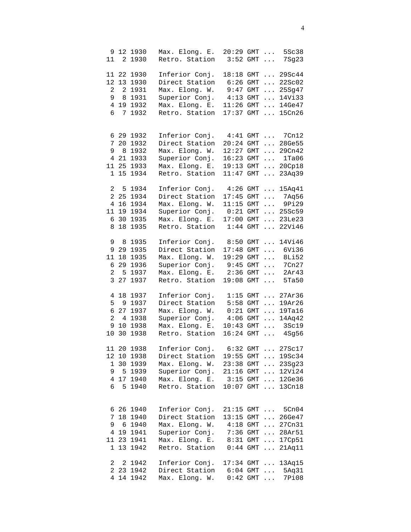|                |                 | 9 12 1930   | Max. Elong. E.                   | $20:29$ GMT $\ldots$ |     |                                 | 5Sc38                      |
|----------------|-----------------|-------------|----------------------------------|----------------------|-----|---------------------------------|----------------------------|
| 11             |                 | 2 1930      | Retro. Station                   | $3:52$ GMT           |     | $\mathbb{Z}^2$ . $\mathbb{Z}^2$ | 7Sg23                      |
|                |                 |             |                                  |                      |     |                                 |                            |
|                |                 | 11 22 1930  | Inferior Conj.                   |                      |     |                                 | 18:18 GMT  29Sc44          |
|                |                 | 12 13 1930  | Direct Station                   | $6:26$ GMT           |     |                                 | $\ldots$ 22Sc02            |
|                |                 |             |                                  |                      |     |                                 |                            |
| $\overline{a}$ |                 | 2 1931      | Max. Elong. W.                   | $9:47$ GMT           |     |                                 | 25Sq47                     |
| 9              |                 | 8 1931      | Superior Conj.                   | $4:13$ GMT           |     |                                 | $\ldots$ 14Vi33            |
| $\overline{4}$ |                 | 19 1932     | Max. Elong. E.                   | $11:26$ GMT          |     |                                 | $\ldots$ 14Ge47            |
| 6              | 7               | 1932        | Retro. Station                   | 17:37                | GMT |                                 | $\ldots$ 15Cn26            |
|                |                 |             |                                  |                      |     |                                 |                            |
|                |                 |             |                                  |                      |     |                                 |                            |
|                |                 | 6 29 1932   | Inferior Conj.                   |                      |     |                                 | 4:41 GMT  7Cn12            |
| 7              |                 | 20 1932     | Direct Station                   |                      |     |                                 | 20:24 GMT  28Ge55          |
|                |                 | 9 8 1932    | Max. Elong. W.                   |                      |     |                                 | 12:27 GMT  29Cn42          |
|                |                 | 4 21 1933   |                                  |                      |     |                                 | 16:23 GMT  1Ta06           |
|                |                 |             | Superior Conj.                   |                      |     |                                 |                            |
|                |                 | 11 25 1933  | Max. Elong. E.                   | 19:13 GMT            |     |                                 | $\ldots$ 20Cp18            |
|                |                 | 1 15 1934   | Retro. Station                   | 11:47                | GMT |                                 | $\ldots$ 23Aq39            |
|                |                 |             |                                  |                      |     |                                 |                            |
|                |                 | 2 5 1934    | Inferior Conj.                   |                      |     |                                 | $4:26$ GMT $15Aq41$        |
|                |                 | 2 25 1934   | Direct Station                   |                      |     |                                 | 17:45 GMT  7Aq56           |
|                |                 | 4 16 1934   | Max. Elong. W.                   | $11:15$ GMT          |     |                                 | $\ldots$ 9Pi29             |
| 11             |                 | 19 1934     | Superior Conj.                   |                      |     |                                 | $0:21$ GMT $\ldots$ 25Sc59 |
| 6              | 30              | 1935        | Max. Elong. E.                   | 17:00                | GMT |                                 | $\ldots$ 23Le23            |
|                |                 | 1935        |                                  |                      |     |                                 |                            |
| 8              | 18              |             | Retro. Station                   | 1:44                 | GMT |                                 | $\ldots$ 22Vi46            |
|                |                 |             |                                  |                      |     |                                 |                            |
| 9              | 8               | 1935        | Inferior Conj.                   | $8:50$ GMT           |     | $\cdots$                        | 14Vi46                     |
|                |                 | 9 29 1935   | Direct Station                   | $17:48$ GMT          |     |                                 | $\ldots$ 6Vi36             |
| 11             |                 | 18 1935     | Max. Elong. W.                   | $19:29$ GMT $\ldots$ |     |                                 | 8Li52                      |
| 6              |                 | 29 1936     | Superior Conj.                   |                      |     |                                 | 9:45 GMT  7Cn27            |
| $\overline{a}$ |                 | 5 1937      | Max. Elong. E.                   | $2:36$ GMT $\ldots$  |     |                                 | 2Ar43                      |
| 3              |                 | 27 1937     | Retro. Station                   | 19:08 GMT            |     |                                 | 5Ta50                      |
|                |                 |             |                                  |                      |     |                                 |                            |
| 4              |                 | 18 1937     | Inferior Conj.                   | $1:15$ GMT           |     | $\cdots$                        | 27Ar36                     |
|                |                 |             |                                  |                      |     |                                 |                            |
| 5              |                 | 9 1937      | Direct Station                   | $5:58$ GMT           |     | $\cdots$                        | 19Ar26                     |
| 6              | 27              | 1937        | Max. Elong. W.                   | $0:21$ GMT           |     | $\cdots$                        | 19Ta16                     |
| $\overline{a}$ |                 | 4 1938      | Superior Conj.                   | $4:06$ GMT           |     | $\cdots$                        | 14Aq42                     |
| 9              | 10 <sup>°</sup> | 1938        | Max. Elong. E.                   | $10:43$ GMT          |     | $\ldots$                        | 3Sc19                      |
| 10             |                 | 30 1938     | Retro. Station                   |                      |     |                                 | 16:24 GMT  4Sg56           |
|                |                 |             |                                  |                      |     |                                 |                            |
|                |                 | 11 20 1938  | Inferior Conj. 6:32 GMT          |                      |     |                                 | 27Sc17                     |
|                |                 | 12 10 1938  | Direct Station                   |                      |     |                                 | 19:55 GMT  19Sc34          |
|                |                 | 1 30 1939   | Max. Elong. W. 23:38 GMT  23Sg23 |                      |     |                                 |                            |
|                |                 | 9 5 1 9 3 9 | Superior Conj. 21:16 GMT  12Vi24 |                      |     |                                 |                            |
|                |                 |             |                                  |                      |     |                                 |                            |
|                |                 | 4 17 1940   | Max. Elong. E. 3:15 GMT  12Ge36  |                      |     |                                 |                            |
|                |                 | 6 5 1 9 4 0 | Retro. Station 10:07 GMT  13Cn18 |                      |     |                                 |                            |
|                |                 |             |                                  |                      |     |                                 |                            |
|                |                 |             |                                  |                      |     |                                 |                            |
|                |                 | 6 26 1940   | Inferior Conj. 21:15 GMT  5Cn04  |                      |     |                                 |                            |
|                |                 | 7 18 1940   | Direct Station                   |                      |     |                                 | 13:15 GMT  26Ge47          |
|                |                 | 9 6 1940    | Max. Elong. W. 4:18 GMT  27Cn31  |                      |     |                                 |                            |
|                |                 | 4 19 1941   | Superior Conj. 7:36 GMT  28Ar51  |                      |     |                                 |                            |
|                |                 | 11 23 1941  | Max. Elong. E. 8:31 GMT  17Cp51  |                      |     |                                 |                            |
| $\mathbf{1}$   |                 | 13 1942     | Retro. Station 0:44 GMT  21Aq11  |                      |     |                                 |                            |
|                |                 |             |                                  |                      |     |                                 |                            |
|                |                 |             |                                  |                      |     |                                 |                            |
|                |                 | 2 2 1942    | Inferior Conj. 17:34 GMT  13Aq15 |                      |     |                                 |                            |
|                |                 | 2 23 1942   | Direct Station 6:04 GMT  5Aq31   |                      |     |                                 |                            |
|                |                 | 4 14 1942   | Max. Elong. W. 0:42 GMT  7P108   |                      |     |                                 |                            |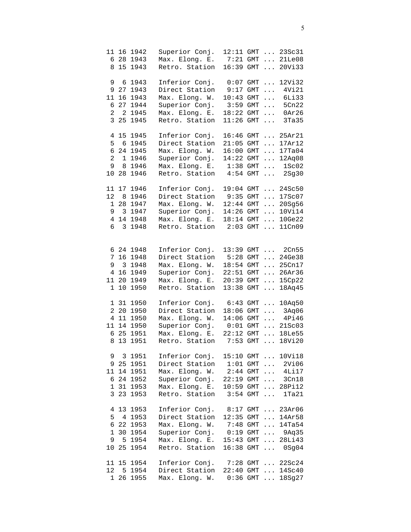| 11<br>8                                             |                                    | 16 1942<br>6 28 1943<br>15 1943                                          | Superior Conj.<br>Max. Elong. E.<br>Retro. Station                                                       | 12:11 GMT<br>7:21<br>16:39                                                 | <b>GMT</b><br><b>GMT</b>                      | $\cdots$<br>$\cdots$                                                              | $\ldots$ 23Sc31<br>21Le08<br>20Vi33                                                                                           |
|-----------------------------------------------------|------------------------------------|--------------------------------------------------------------------------|----------------------------------------------------------------------------------------------------------|----------------------------------------------------------------------------|-----------------------------------------------|-----------------------------------------------------------------------------------|-------------------------------------------------------------------------------------------------------------------------------|
| 9<br>9<br>11<br>6<br>2<br>3                         | 6<br>27<br>16<br>27<br>2<br>25     | 1943<br>1943<br>1943<br>1944<br>1945<br>1945                             | Inferior Conj.<br>Direct Station<br>Max. Elong. W.<br>Superior Conj.<br>Max. Elong. E.<br>Retro. Station | 0:07<br>9:17<br>10:43<br>3:59<br>18:22<br>11:26                            | GMT<br>GMT<br>GMT<br>GMT<br>GMT<br><b>GMT</b> | $\dddot{\phantom{0}}$<br>$\cdots$<br>$\cdots$<br>$\cdots$<br>$\cdots$<br>$\cdots$ | 12Vi32<br>4Vi21<br>6Li33<br>5Cn22<br>0Ar26<br>3Ta35                                                                           |
| 4<br>5<br>б<br>2<br>9                               | 15 <sub>1</sub><br>6<br>8<br>10 28 | 1945<br>1945<br>24 1945<br>1 1946<br>1946<br>1946                        | Inferior Conj.<br>Direct Station<br>Max. Elong. W.<br>Superior Conj.<br>Max. Elong. E.<br>Retro. Station | $16:46$ GMT<br>21:05<br>16:00<br>14:22<br>1:38<br>4:54                     | GMT<br>GMT<br>GMT<br>GMT<br>GMT               | $\cdots$<br>$\cdots$<br>$\cdots$<br>$\cdots$                                      | $\ldots$ 25Ar21<br>17Ar12<br>17Ta04<br>12Aq08<br>1Sc02<br>$\ldots$ 2Sg30                                                      |
| 11<br>12<br>$\mathbf 1$<br>9<br>$\overline{4}$<br>6 | 8<br>28<br>$\mathbf{3}$<br>3       | 17 1946<br>1946<br>1947<br>1947<br>14 1948<br>1948                       | Inferior Conj.<br>Direct Station<br>Max. Elong. W.<br>Superior Conj.<br>Max. Elong. E.<br>Retro. Station | $19:04$ GMT<br>$9:35$ GMT<br>$12:44$ GMT<br>14:26 GMT<br>18:14 GMT<br>2:03 | <b>GMT</b>                                    | $\cdots$<br>$\cdots$<br>$\cdots$<br>$\cdots$                                      | $\ldots$ 24Sc50<br>17Sc07<br>20Sg56<br>10Vi14<br>10 Ge22<br>11Cn09                                                            |
| 6<br>7<br>9<br>4<br>11<br>$\mathbf 1$               | 3<br>16<br>20<br>10                | 24 1948<br>16 1948<br>1948<br>1949<br>1949<br>1950                       | Inferior Conj.<br>Direct Station<br>Max. Elong. W.<br>Superior Conj.<br>Max. Elong. E.<br>Retro. Station | 13:39<br>5:28<br>$18:54$ GMT<br>22:51<br>20:39<br>13:38                    | GMT<br>GMT<br>GMT<br>GMT<br>GMT               | $\cdots$<br>$\cdots$<br>$\cdots$<br>$\cdots$<br>$\cdots$                          | 2Cn55<br>$\ldots$ 24Ge38<br>25Cn17<br>26Ar36<br>15Cp22<br>18Aq45                                                              |
| $\overline{a}$<br>4<br>6<br>8                       | 1 31<br>20<br>25<br>13             | 1950<br>1950<br>11 1950<br>11 14 1950<br>1951<br>1951                    | Inferior Conj.<br>Direct Station<br>Max. Elong. W.<br>Superior Conj.<br>Max. Elong. E.<br>Retro. Station | $6:43$ GMT<br>18:06<br>14:06<br>$0:01$ GMT<br>22:12 GMT<br>$7:53$ GMT      | GMT<br>GMT                                    | $\cdots$<br>$\cdots$<br>$\cdots$<br>$\cdots$                                      | 10Aq50<br>$\ldots$ 3Aq06<br>4Pi46<br>$\ldots$ 21Sc03<br>18Le55<br>18Vi20                                                      |
| 3                                                   |                                    | 9 3 1951<br>9 25 1951<br>11 14 1951<br>6 24 1952<br>1 31 1953<br>23 1953 | Inferior Conj.<br>Direct Station<br>Max. Elong. W.<br>Superior Conj.<br>Max. Elong. E.<br>Retro. Station | $10:59$ GMT<br>$3:54$ GMT                                                  |                                               |                                                                                   | 15:10 GMT  10Vi18<br>$1:01$ GMT $\ldots$ 2Vi06<br>$2:44$ GMT $4Li17$<br>22:19 GMT  3Cn18<br>$\ldots$ 28Pi12<br>$\ldots$ 1Ta21 |
| 5<br>6<br>$\mathbf 1$<br>9<br>10                    | 5<br>25                            | 4 13 1953<br>4 1953<br>22 1953<br>30 1954<br>1954<br>1954                | Inferior Conj.<br>Direct Station<br>Max. Elong. W.<br>Superior Conj.<br>Max. Elong. E.<br>Retro. Station |                                                                            |                                               |                                                                                   | 8:17 GMT  23Ar06<br>12:35 GMT  14Ar58<br>7:48 GMT  14Ta54<br>$0:19$ GMT $9$ Aq35<br>15:43 GMT  28Li43<br>16:38 GMT  0Sg04     |
| 12 <sup>°</sup><br>$\mathbf{1}$                     |                                    | 11 15 1954<br>5 1954<br>26 1955                                          | Inferior Conj.<br>Direct Station<br>Max. Elong. W.                                                       |                                                                            |                                               |                                                                                   | 7:28 GMT  22Sc24<br>22:40 GMT  14Sc40<br>0:36 GMT  18Sg27                                                                     |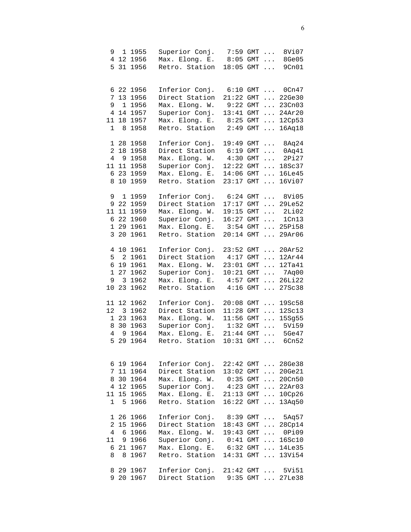|                |              | 9 1 1 9 5 5<br>4 12 1956 | Superior Conj.<br>Max. Elong. E. | 7:59 GMT<br>$8:05$ GMT |     | $\cdots$<br>$\cdots$ | 8Vi07<br>8Ge05  |
|----------------|--------------|--------------------------|----------------------------------|------------------------|-----|----------------------|-----------------|
| 5              |              | 31 1956                  | Retro. Station                   | 18:05 GMT              |     | $\cdots$             | 9Cn01           |
|                |              |                          |                                  |                        |     |                      |                 |
|                |              |                          |                                  |                        |     |                      |                 |
|                |              | 6 22 1956                | Inferior Conj.                   | 6:10                   | GMT | $\cdots$             | $0$ Cn $47$     |
| 7              |              | 13 1956                  | Direct Station                   | 21:22                  | GMT | $\cdots$             | 22Ge30          |
| 9              |              | 1 1956                   | Max. Elong. W.                   | 9:22                   | GMT | $\cdots$             | 23Cn03          |
|                |              | 4 14 1957                | Superior Conj.                   | 13:41                  | GMT | $\cdots$             | 24Ar20          |
| 11             |              | 18 1957                  | Max. Elong. E.                   | 8:25                   | GMT | .                    | 12Cp53          |
| $\mathbf 1$    | 8            | 1958                     | Retro. Station                   | 2:49                   | GMT | $\cdots$             | 16Aq18          |
|                |              |                          |                                  |                        |     |                      |                 |
|                |              | 1 28 1958                | Inferior Conj.                   | 19:49 GMT              |     | $\cdots$             | 8Aq24           |
| $\overline{a}$ |              | 18 1958                  | Direct Station                   | 6:19                   | GMT | $\cdots$             | 0Aq41           |
| $\overline{4}$ |              | 9 1958                   | Max. Elong. W.                   | $4:30$ GMT             |     | $\cdots$             | 2Pi27           |
| 11             | 11           | 1958                     | Superior Conj.                   | 12:22 GMT              |     | $\ddots$             | 18Sc37          |
| б.             |              | 23 1959                  | Max. Elong. E.                   | 14:06                  | GMT | $\ddots$             | <b>16Le45</b>   |
| 8              |              | 10 1959                  | Retro. Station                   | 23:17                  | GMT | $\cdots$             | 16Vi07          |
|                |              |                          |                                  |                        |     |                      |                 |
| 9              | $\mathbf{1}$ | 1959                     | Inferior Conj.                   | $6:24$ GMT             |     |                      | $\ldots$ 8Vi05  |
|                |              | 9 22 1959                | Direct Station                   | $17:17$ GMT            |     | $\cdots$             | 29Le52          |
|                | 11 11        | 1959                     | Max. Elong. W.                   | 19:15 GMT              |     | $\cdots$             | 2Li02           |
| 6              |              | 22 1960                  | Superior Conj.                   | 16:27                  | GMT | $\cdots$             | 1Cn13           |
| $\mathbf{1}$   | 29           | 1961                     | Max. Elong. E.                   | 3:54                   | GMT | $\ldots$             | 25Pi58          |
| 3              | 20           | 1961                     | Retro. Station                   | 20:14                  | GMT | $\cdots$             | 29Ar06          |
|                |              |                          |                                  |                        |     |                      |                 |
| 4              | 10           | 1961                     | Inferior Conj.                   | 23:52                  | GMT | $\cdots$             | 20Ar52          |
| 5              | $\sqrt{2}$   | 1961                     | Direct Station                   | 4:17                   | GMT | $\cdots$             | 12Ar44          |
| 6              |              | 19 1961                  | Max. Elong. W.                   | 23:01 GMT              |     | $\cdots$             | 12Ta41          |
| $\mathbf 1$    |              | 27 1962                  | Superior Conj.                   | $10:21$ GMT            |     | $\cdots$             | 7Aq00           |
| 9              | 3            | 1962                     | Max. Elong. E.                   | 4:57                   | GMT | $\cdots$             | 26Li22          |
| 10             | 23           | 1962                     | Retro. Station                   | 4:16                   | GMT | $\cdots$             | 27Sc38          |
|                |              |                          |                                  |                        |     |                      |                 |
|                | 11 12        | 1962                     | Inferior Conj.                   | $20:08$ GMT            |     | $\cdots$             | 19Sc58          |
| 12             |              | 3 1962                   | Direct Station                   | $11:28$ GMT            |     | $\ddots$             | 12Sc13          |
|                |              | 1 23 1963                | Max. Elong. W.                   | $11:56$ GMT            |     | $\cdots$             | 15Sg55          |
| 8              |              | 30 1963                  | Superior Conj.                   | $1:32$ GMT             |     | $\cdots$             | 5Vi59           |
| $\overline{4}$ | 9            | 1964                     | Max. Elong. E.                   | $21:44$ GMT            |     | $\cdots$             | 5Ge47           |
| 5              |              | 29 1964                  | Retro. Station                   | $10:31$ GMT            |     | $\ddots$             | 6Cn52           |
|                |              |                          |                                  |                        |     |                      |                 |
|                |              |                          |                                  |                        |     |                      |                 |
|                |              | 6 19 1964                | Inferior Conj.                   | 22:42 GMT              |     |                      | $\ldots$ 28Ge38 |
|                |              | 7 11 1964                | Direct Station                   | $13:02$ GMT            |     |                      | $\ldots$ 20Ge21 |
|                |              | 8 30 1964                | Max. Elong. W.                   | $0:35$ GMT             |     |                      | $\ldots 20Cn50$ |
|                |              | 4 12 1965                | Superior Conj.                   | $4:23$ GMT             |     |                      | $\ldots$ 22Ar03 |
|                |              | 11 15 1965               | Max. Elong. E.                   | $21:13$ GMT            |     |                      | $\ldots$ 10Cp26 |
| $\mathbf{1}$   |              | 5 1966                   | Retro. Station                   | $16:22$ GMT            |     |                      | 13Aq50          |
|                |              |                          |                                  |                        |     |                      |                 |
|                |              | 1 26 1966                | Inferior Conj.                   | 8:39 GMT               |     |                      | $\ldots$ 5Aq57  |
| $\overline{a}$ |              | 15 1966                  | Direct Station                   | $18:43$ GMT            |     | $\cdots$             | 28Cp14          |
| 4              |              | 6 1966                   | Max. Elong. W.                   | 19:43 GMT              |     |                      | $\ldots$ 0Pi09  |
| 11             |              | 9 1966                   | Superior Conj.                   | $0:41$ GMT             |     | $\cdots$             | 16Sc10          |
|                |              | 6 21 1967                | Max. Elong. E. 6:32 GMT          |                        |     |                      | $\ldots$ 14Le35 |
| 8              |              | 8 1967                   | Retro. Station                   | 14:31 GMT              |     |                      | $\ldots$ 13Vi54 |
|                |              |                          |                                  |                        |     |                      |                 |
|                |              | 8 29 1967                | Inferior Conj.                   | $21:42$ GMT            |     | $\cdots$             | 5Vi51           |
| 9              |              | 20 1967                  | Direct Station                   | 9:35                   | GMT | $\mathbf{1}$         | 27Le38          |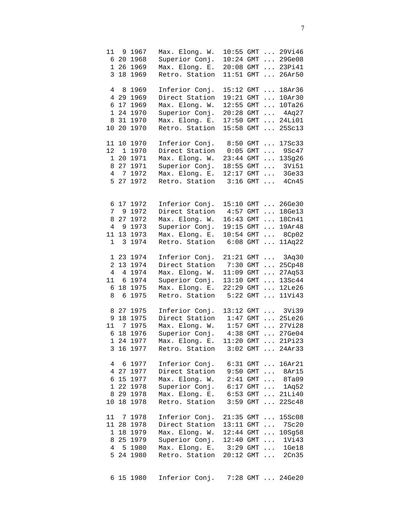| $\overline{3}$                                   |                                 | 11 9 1967<br>6 20 1968<br>1 26 1969<br>18 1969                           | Max. Elong. W.<br>Superior Conj.<br>Max. Elong. E.<br>Retro. Station                                                     | $10:24$ GMT<br>$20:08$ GMT<br>$11:51$ GMT                                   |                                        |                                                                                                        | 10:55 GMT  29Vi46<br>$ 29$ Ge08<br>$\ldots$ 23Pi41<br>$\ldots 26Ar50$                                    |
|--------------------------------------------------|---------------------------------|--------------------------------------------------------------------------|--------------------------------------------------------------------------------------------------------------------------|-----------------------------------------------------------------------------|----------------------------------------|--------------------------------------------------------------------------------------------------------|----------------------------------------------------------------------------------------------------------|
| 4<br>6<br>1<br>8<br>10                           | 17<br>20 <sub>o</sub>           | 8 1969<br>4 29 1969<br>1969<br>24 1970<br>31 1970<br>1970                | Inferior Conj.<br>Direct Station<br>Max. Elong. W.<br>Superior Conj.<br>Max. Elong. E.<br>Retro. Station                 | 15:12<br>19:21<br>12:55<br>20:28<br>17:50<br>15:58                          | GMT<br>GMT<br>GMT<br>GMT<br>GMT<br>GMT | $\cdots$<br>$\ldots$<br>$\cdots$<br>$\cdots$                                                           | 18Ar36<br>10Ar30<br>10Ta26<br>$\ldots$ 4Aq27<br>$\ldots$ 24Li01<br>25Sc13                                |
| 12<br>8<br>$\overline{4}$<br>5                   | 1 20<br>27<br>$7^{\circ}$<br>27 | 11 10 1970<br>1 1970<br>1971<br>1971<br>1972<br>1972                     | Inferior Conj.<br>Direct Station<br>Max. Elong. W.<br>Superior Conj.<br>Max. Elong. E.<br>Retro. Station                 | $8:50$ GMT $\ldots$<br>0:05<br>23:44 GMT<br>$18:55$ GMT<br>12:17<br>3:16    | GMT<br>GMT<br>GMT                      | $\cdots$<br>$\mathbf{1}$ . The set of $\mathbf{1}$<br>$\mathbb{Z}^2$ , $\mathbb{Z}^2$ , $\mathbb{Z}^2$ | 17Sc33<br>9Sc47<br>13Sg26<br>3Vi51<br>$\ldots$ 3Ge33<br>$\ldots$ 4Cn45                                   |
| 6<br>$7\overline{ }$<br>8<br>$\overline{4}$<br>1 | 9<br>9<br>11 13<br>$\mathbf{3}$ | 17 1972<br>1972<br>27 1972<br>1973<br>1973<br>1974                       | Inferior Conj.<br>Direct Station<br>Max. Elong. W.<br>Superior Conj.<br>Max. Elong. E.<br>Retro. Station                 | 4:57<br>16:43<br>19:15<br>10:54<br>6:08                                     | GMT<br>GMT<br>GMT<br>GMT<br>GMT        | $\mathbf{1}$ . The set of $\mathbf{1}$<br>$\cdots$                                                     | 15:10 GMT  26Ge30<br>$\ldots$ 18Ge13<br>$\ldots$ 18Cn41<br>19Ar48<br>$\ldots$ 8Cp02<br>11Aq22            |
| $\overline{a}$<br>$\overline{4}$<br>11<br>6<br>8 | 6                               | 1 23 1974<br>13 1974<br>4 1974<br>6 1974<br>18 1975<br>1975              | Inferior Conj.<br>Direct Station<br>Max. Elong. W.<br>Superior Conj.<br>Max. Elong. E.<br>Retro. Station                 | $21:21$ GMT<br>$7:30$ GMT<br>$11:09$ GMT<br>13:10<br>22:29<br>5:22          | GMT<br>GMT<br>GMT                      | $\ldots$                                                                                               | $\ldots$ 3Aq30<br>25Cp48<br>$\ldots$ 27Aq53<br>$\ldots 13Sc44$<br>$\ldots$ 12Le26<br>$\ldots$ 11Vi43     |
| 9<br>6                                           |                                 | 8 27 1975<br>18 1975<br>11 7 1975<br>18 1976<br>1 24 1977<br>3 16 1977   | Inferior Conj.<br>Direct Station<br>Max. Elong. W.<br>Superior Conj.<br>Max. Elong. E.<br>Retro. Station                 | 13:12 GMT<br>$1:47$ GMT<br>$1:57$ GMT<br>$4:38$ GMT<br>$11:20$ GMT $\ldots$ |                                        |                                                                                                        | $\ldots$ 3Vi39<br>$\ldots$ 25Le26<br>$\ldots$ 27Vi28<br>$\ldots$ 27Ge04<br>21Pi23<br>$3:02$ GMT $24Ar33$ |
| 4                                                |                                 | 6 1977<br>4 27 1977<br>6 15 1977<br>1 22 1978<br>8 29 1978<br>10 18 1978 | Inferior Conj.<br>Direct Station 9:50 GMT  8Ar15<br>Max. Elong. W.<br>Superior Conj.<br>Max. Elong. E.<br>Retro. Station | $6:17$ GMT                                                                  |                                        |                                                                                                        | $6:31$ GMT $16Ar21$<br>2:41 GMT  8Ta09<br>$\ldots$ 1Aq52<br>6:53 GMT  21Li40<br>3:59 GMT  22Sc48         |
| 8<br>$4\overline{ }$                             |                                 | 11 7 1978<br>11 28 1978<br>1 18 1979<br>25 1979<br>5 1980<br>5 24 1980   | Inferior Conj.<br>Direct Station<br>Max. Elong. W.<br>Superior Conj.<br>Max. Elong. E. 3:29 GMT  1Ge18<br>Retro. Station | $21:35$ GMT $\ldots$<br>13:11 GMT<br>$20:12$ GMT                            |                                        |                                                                                                        | 15Sc08<br>$\ldots$ 7Sc20<br>12:44 GMT  10Sg58<br>12:40 GMT  1Vi43<br>$\ldots$ 2Cn35                      |
|                                                  |                                 | 6 15 1980                                                                | Inferior Conj.                                                                                                           |                                                                             |                                        |                                                                                                        | 7:28 GMT  24Ge20                                                                                         |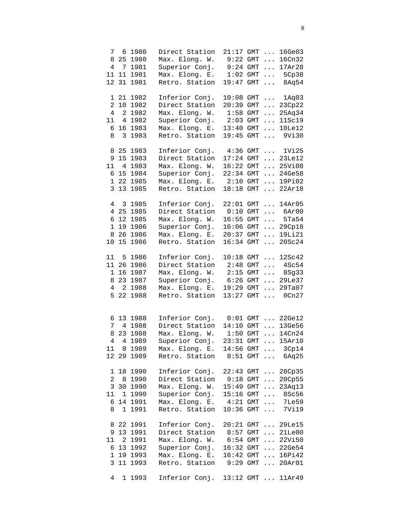| 8                                   |              | 7 6 1980<br>25 1980<br>4 7 1981<br>11 11 1981<br>12 31 1981                | Direct Station<br>Max. Elong. W.<br>Superior Conj.<br>Max. Elong. E.<br>Retro. Station                                                                                                          | $21:17$ GMT $\ldots$<br>$9:22$ GMT<br>$9:24$ GMT<br>19:47 GMT      |                                 |                                              | 16Ge03<br>$\ldots 16Cn32$<br>17Ar28<br>1:02 GMT  5Cp38<br>9:47 GMT  8Aq54                                                 |
|-------------------------------------|--------------|----------------------------------------------------------------------------|-------------------------------------------------------------------------------------------------------------------------------------------------------------------------------------------------|--------------------------------------------------------------------|---------------------------------|----------------------------------------------|---------------------------------------------------------------------------------------------------------------------------|
| $\overline{a}$<br>4<br>11<br>6<br>8 | $\mathbf{3}$ | 1 21 1982<br>10 1982<br>2 1982<br>4 1982<br>16 1983<br>1983                | Inferior Conj.<br>Direct Station<br>Max. Elong. W.<br>Superior Conj.<br>Max. Elong. E.<br>Retro. Station                                                                                        | 10:08<br>20:39<br>1:58<br>2:03<br>13:40<br>19:45                   | GMT<br>GMT<br>GMT<br>GMT<br>GMT | $\cdots$<br>$\ldots$<br>$\cdots$<br>$\ddots$ | $GMT$ $1Aq03$<br>23Cp22<br>25Aq34<br>11Sc19<br>$\ldots$ 10Le12<br>9Vi30                                                   |
| 11<br>$\mathbf{1}$                  |              | 8 25 1983<br>9 15 1983<br>4 1983<br>6 15 1984<br>22 1985<br>3 13 1985      | Inferior Conj.<br>Direct Station<br>Max. Elong. W.<br>Superior Conj.<br>Max. Elong. E.<br>Retro. Station                                                                                        | 2:10<br>18:18                                                      | GMT<br>GMT                      |                                              | 4:36 GMT  1Vi25<br>17:24 GMT  23Le12<br>16:22 GMT  25Vi08<br>22:34 GMT  24Ge58<br>$\ldots$ 19Pi02<br>$\ldots$ 22Ar18      |
| 6<br>$\mathbf 1$<br>8<br>10         | 19<br>15     | 4 3 1 9 8 5<br>4 25 1985<br>12 1985<br>1986<br>26 1986<br>1986             | Inferior Conj.<br>Direct Station<br>Max. Elong. W.<br>Superior Conj.<br>Max. Elong. E.<br>Retro. Station                                                                                        | 16:55 GMT<br>20:37                                                 |                                 |                                              | 22:01 GMT  14Ar05<br>$0:10$ GMT $\ldots$ 6Ar00<br>$\ldots$ 5Ta54<br>16:06 GMT  29Cp18<br>GMT  19Li21<br>16:34 GMT  20Sc24 |
| 11<br>8<br>$4\degree$<br>5          |              | 5 1986<br>11 26 1986<br>1 16 1987<br>23 1987<br>2 1988<br>22 1988          | Inferior Conj.<br>Direct Station<br>Max. Elong. W.<br>Superior Conj.<br>Max. Elong. E.<br>Retro. Station                                                                                        | 10:18<br>$2:48$ GMT<br>$2:15$ GMT<br>$19:29$ GMT $\ldots$<br>13:27 | GMT<br>GMT                      | $\cdots$                                     | 12Sc42<br>$\ldots$ 4Sc54<br>$\ldots$ 8Sg33<br>6:26 GMT  29Le37<br>29Ta07<br>$\ldots$ 0Cn27                                |
| 7<br>8<br>$\overline{4}$            |              | 6 13 1988<br>4 1988<br>23 1988<br>4 1989<br>11 8 1989<br>12 29 1989        | Inferior Conj.<br>Direct Station<br>Max. Elong. W.<br>Superior Conj.<br>Max. Elong. E. 14:56 GMT  3Cp14<br>Retro. Station 8:51 GMT  6Aq25                                                       | 14:10 GMT<br>$1:50$ GMT<br>$23:31$ GMT                             |                                 |                                              | $0:01$ GMT $22$ Ge12<br>$\ldots$ 13Ge56<br>$\ldots$ 14Cn24<br>15Ar10                                                      |
| 8                                   |              | 1 18 1990<br>2 8 1990<br>3 30 1990<br>11 1 1990<br>6 14 1991<br>1 1991     | Inferior Conj. 22:43 GMT  28Cp35<br>Direct Station 9:18 GMT  20Cp55<br>Max. Elong. W. 15:49 GMT  23Aq13<br>Superior Conj. 15:16 GMT  8Sc56<br>Max. Elong. E. 4:21 GMT  7Le59<br>Retro. Station  |                                                                    |                                 |                                              | 10:36 GMT  7Vi19                                                                                                          |
|                                     |              | 8 22 1991<br>9 13 1991<br>11 2 1991<br>6 13 1992<br>1 19 1993<br>3 11 1993 | Inferior Conj. 20:21 GMT  29Le15<br>Direct Station 8:57 GMT  21Le00<br>Max. Elong. W. 6:54 GMT  22Vi50<br>Superior Conj.<br>Max. Elong. E. 16:42 GMT  16Pi42<br>Retro. Station 9:29 GMT  20Ar01 |                                                                    |                                 |                                              | 16:32 GMT  22Ge54                                                                                                         |
| $4\overline{ }$                     |              | 1 1993                                                                     | Inferior Conj. 13:12 GMT  11Ar49                                                                                                                                                                |                                                                    |                                 |                                              |                                                                                                                           |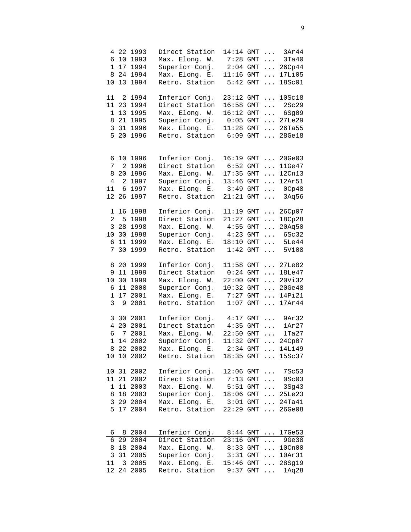| 10                                   |    | 4 22 1993<br>6 10 1993<br>1 17 1994<br>8 24 1994<br>13 1994                  | Direct Station<br>Max. Elong. W.<br>Superior Conj.<br>Max. Elong. E.<br>Retro. Station                                    | $14:14$ GMT<br>$7:28$ GMT<br>$2:04$ GMT<br>$11:16$ GMT<br>$5:42$ GMT |                                 | $\ldots$<br>$\cdots$<br>$\cdots$<br>$\cdots$<br>$\mathbf{1}$ $\mathbf{1}$ | 3Ar44<br>3Ta40<br>26Cp44<br>17Li05<br>18Sc01                                                      |
|--------------------------------------|----|------------------------------------------------------------------------------|---------------------------------------------------------------------------------------------------------------------------|----------------------------------------------------------------------|---------------------------------|---------------------------------------------------------------------------|---------------------------------------------------------------------------------------------------|
| 11<br>5                              |    | 2 1994<br>11 23 1994<br>1 13 1995<br>8 21 1995<br>3 31 1996<br>20 1996       | Inferior Conj.<br>Direct Station<br>Max. Elong. W.<br>Superior Conj.<br>Max. Elong. E.<br>Retro. Station                  | 23:12<br>16:58<br>16:12<br>0:05<br>$11:28$ GMT<br>6:09               | GMT<br>GMT<br>GMT<br>GMT<br>GMT | $\cdots$<br>$\cdots$                                                      | <b>10Sc18</b><br>$\ldots$ 2Sc29<br>$\ldots$ 6Sg09<br>$\ldots$ 27Le29<br>$\ldots$ 26Ta55<br>28Ge18 |
| 7<br>8<br>$\overline{4}$<br>11<br>12 |    | 6 10 1996<br>2 1996<br>20 1996<br>2 1997<br>6 1997<br>26 1997                | Inferior Conj.<br>Direct Station<br>Max. Elong. W.<br>Superior Conj.<br>Max. Elong. E.<br>Retro. Station                  | $6:52$ GMT<br>$17:35$ GMT<br>13:46 GMT<br>$3:49$ GMT<br>$21:21$ GMT  |                                 | $\cdots$<br>$\ldots$<br>$\cdots$                                          | 16:19 GMT  20Ge03<br>11Ge47<br>12Cn13<br>12Ar51<br>$\ldots$ 0Cp48<br>$\ldots$ 3Aq56               |
| 10<br>7                              | 30 | 1 16 1998<br>2 5 1998<br>3 28 1998<br>30 1998<br>6 11 1999<br>1999           | Inferior Conj.<br>Direct Station<br>Max. Elong. W.<br>Superior Conj.<br>Max. Elong. E.<br>Retro. Station                  | 11:19<br>21:27<br>4:55<br>$4:23$ GMT<br>18:10<br>1:42                | GMT<br>GMT<br>GMT<br>GMT        | $\cdots$<br>$\cdots$<br>$\cdots$                                          | GMT  26Cp07<br>18Cp28<br>20Aq50<br>$\ldots$ 6Sc32<br>$\ldots$ 5Le44<br>5Vi08                      |
| 6<br>$\mathbf{1}$<br>3               | 9  | 8 20 1999<br>9 11 1999<br>10 30 1999<br>11 2000<br>17 2001<br>2001           | Inferior Conj.<br>Direct Station<br>Max. Elong. W.<br>Superior Conj.<br>Max. Elong. E.<br>Retro. Station                  | $0:24$ GMT<br>22:00 GMT<br>$10:32$ GMT<br>$7:27$ GMT                 |                                 | $\cdots$                                                                  | 11:58 GMT  27Le02<br>18Le47<br>$\ldots 20V132$<br>20 Ge48<br>$\ldots$ 14Pi21<br>1:07 GMT  17Ar44  |
| 4                                    |    | 3 30 2001<br>20 2001<br>6 7 2001<br>1 14 2002<br>8 22 2002<br>10 10 2002     | Inferior Conj.<br>Direct Station<br>Max. Elong. W.<br>Superior Conj.<br>Max. Elong. E.<br>Retro. Station                  | $4:17$ GMT<br>$4:35$ GMT<br>22:50 GMT<br>$11:32$ GMT                 |                                 | $\ldots$<br>$\cdots$                                                      | $\ldots$ 9Ar32<br>1Ar27<br>1Ta27<br>24Cp07<br>2:34 GMT  14Li49<br>18:35 GMT  15Sc37               |
|                                      |    | 10 31 2002<br>11 21 2002<br>1 11 2003<br>8 18 2003<br>3 29 2004<br>5 17 2004 | Inferior Conj.<br>Direct Station 7:13 GMT  0Sc03<br>Max. Elong. W.<br>Superior Conj.<br>Max. Elong. E.<br>Retro. Station  | $5:51$ GMT<br>$18:06$ GMT<br>$3:01$ GMT<br>$22:29$ GMT               |                                 |                                                                           | 12:06 GMT  7Sc53<br>$\ldots$ 3Sg43<br>$\ldots$ 25Le23<br>$\ldots$ 24Ta41<br>26 Ge08               |
| 8<br>$\mathbf{3}$<br>11              |    | 6 8 2004<br>6 29 2004<br>18 2004<br>31 2005<br>3 2005<br>12 24 2005          | Inferior Conj. 8:44 GMT  17Ge53<br>Direct Station<br>Max. Elong. W.<br>Superior Conj.<br>Max. Elong. E.<br>Retro. Station | $23:16$ GMT $\ldots$<br>$3:31$ GMT<br>$15:46$ GMT                    |                                 |                                                                           | 9Ge38<br>8:33 GMT  10Cn00<br>$\ldots$ 10Ar31<br>$\ldots$ 28Sg19<br>9:37 GMT  1Aq28                |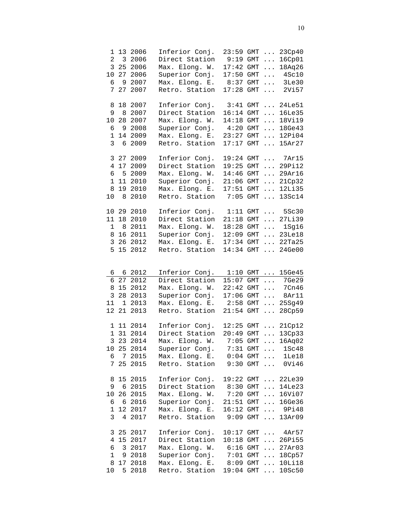| $\overline{a}$<br>6<br>7                    | 9<br>27                 | 1 13 2006<br>3 2006<br>3 25 2006<br>10 27 2006<br>2007<br>2007             | Inferior Conj.<br>Direct Station<br>Max. Elong. W.<br>Superior Conj.<br>Max. Elong. E.<br>Retro. Station | 23:59 GMT<br>9:19<br>$17:42$ GMT<br>$17:50$ GMT<br>8:37<br>17:28                     | GMT<br>GMT<br>GMT                      | $\cdots$<br>$\cdots$<br>$\cdots$<br>$\cdots$<br>$\cdots$<br>$\cdots$ | 23Cp40<br>16Cp01<br>18Aq26<br>4Sc10<br>3Le30<br>2Vi57                                                                |
|---------------------------------------------|-------------------------|----------------------------------------------------------------------------|----------------------------------------------------------------------------------------------------------|--------------------------------------------------------------------------------------|----------------------------------------|----------------------------------------------------------------------|----------------------------------------------------------------------------------------------------------------------|
| 8<br>9<br>10<br>6<br>$\mathbf{1}$<br>3      | 8<br>6                  | 18 2007<br>2007<br>28 2007<br>9 2008<br>14 2009<br>2009                    | Inferior Conj.<br>Direct Station<br>Max. Elong. W.<br>Superior Conj.<br>Max. Elong. E.<br>Retro. Station | 3:41<br>16:14<br>14:18<br>4:20<br>23:27<br>17:17                                     | GMT<br>GMT<br>GMT<br>GMT<br>GMT<br>GMT | $\cdots$<br>$\cdots$<br>$\cdots$<br>$\cdots$<br>$\cdots$<br>$\cdots$ | 24Le51<br>16Le35<br>18Vi19<br>18Ge43<br>12Pi04<br>15Ar27                                                             |
| 4<br>6<br>$\mathbf 1$<br>8<br>10            | 11<br>8                 | 3 27 2009<br>17 2009<br>5 2009<br>2010<br>19 2010<br>2010                  | Inferior Conj.<br>Direct Station<br>Max. Elong. W.<br>Superior Conj.<br>Max. Elong. E.<br>Retro. Station | 19:24 GMT<br>19:25<br>14:46<br>21:06<br>17:51<br>7:05                                | GMT<br>GMT<br>GMT<br>GMT<br>GMT        | $\cdots$<br>$\cdots$<br>$\cdots$<br>$\cdots$<br>$\cdots$             | $\ldots$ 7 $\text{Ar15}$<br>29Pi12<br>29Ar16<br>21Cp32<br>12Li35<br>13Sc14                                           |
| 11<br>$\mathbf 1$<br>8<br>$\mathsf{3}$<br>5 | 26<br>15                | 10 29 2010<br>18 2010<br>8 2011<br>16 2011<br>2012<br>2012                 | Inferior Conj.<br>Direct Station<br>Max. Elong. W.<br>Superior Conj.<br>Max. Elong. E.<br>Retro. Station | $1:11$ GMT<br>$21:18$ GMT<br>18:28<br>12:09<br>17:34<br>14:34                        | GMT<br>GMT<br>GMT<br>GMT               | $\cdots$<br>$\cdots$<br>$\cdots$<br>$\cdots$                         | $\ldots$ 5Sc30<br>27Li39<br>$\ldots$ 1Sg16<br>23Le18<br>22Ta25<br>$24$ Ge $00$                                       |
| 6<br>8<br>$\overline{3}$<br>11              | $\overline{1}$<br>12 21 | 6 6 2012<br>27 2012<br>15 2012<br>28 2013<br>2013<br>2013                  | Inferior Conj.<br>Direct Station<br>Max. Elong. W.<br>Superior Conj.<br>Max. Elong. E.<br>Retro. Station | $1:10$ GMT<br>$15:07$ GMT<br>$22:42$ GMT<br>$17:06$ GMT<br>$2:58$ GMT<br>$21:54$ GMT |                                        | $\cdots$<br>$\ldots$<br>$\ldots$<br>$\cdots$<br>$\ddots$<br>$\cdots$ | 15Ge45<br>7Ge29<br>7Cn46<br>8Ar11<br>25Sg49<br>28Cp59                                                                |
|                                             |                         | 1 11 2014<br>1 31 2014<br>3 23 2014<br>10 25 2014<br>6 7 2015<br>7 25 2015 | Inferior Conj.<br>Direct Station<br>Max. Elong. W.<br>Superior Conj.<br>Max. Elong. E.<br>Retro. Station | $12:25$ GMT<br>$20:49$ GMT<br>$7:05$ GMT<br>$0:04$ GMT $\ldots$                      |                                        | $\cdots$                                                             | $\ldots$ 21Cp12<br>$\ldots 13Cp33$<br>16Aq02<br>7:31 GMT  1Sc48<br>$1$ Le $18$<br>$9:30$ GMT $0V146$                 |
| б.<br>$\mathbf{1}$<br>3                     |                         | 8 15 2015<br>9 6 2015<br>10 26 2015<br>6 2016<br>12 2017<br>4 2017         | Inferior Conj.<br>Direct Station<br>Max. Elong. W.<br>Superior Conj.<br>Max. Elong. E.<br>Retro. Station | 19:22 GMT<br>$8:30$ GMT<br>$7:20$ GMT<br>$21:51$ GMT<br>$16:12$ GMT<br>9:09 GMT      |                                        |                                                                      | $\ldots$ 22Le39<br>$\ldots$ 14Le23<br>16Vi07<br>$\ldots$ 16Ge36<br>9Pi48<br>$\ldots$ 13Ar09                          |
| 4<br>6<br>$\mathbf 1$<br>8<br>10            | 9                       | 3 25 2017<br>15 2017<br>3 2017<br>2018<br>17 2018<br>5 2018                | Inferior Conj.<br>Direct Station<br>Max. Elong. W.<br>Superior Conj.<br>Max. Elong. E.<br>Retro. Station | $6:16$ GMT<br>$8:09$ GMT                                                             |                                        |                                                                      | 10:17 GMT  4Ar57<br>10:18 GMT  26Pi55<br>$\ldots$ 27Ar03<br>7:01 GMT  18Cp57<br>$\ldots$ 10Li18<br>19:04 GMT  10Sc50 |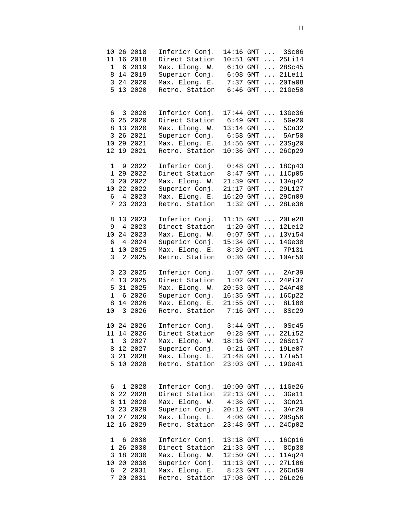| 8<br>$\mathsf{3}$                |                                    | 10 26 2018<br>11 16 2018<br>1 6 2019<br>14 2019<br>24 2020<br>5 13 2020     | Inferior Conj.<br>Direct Station<br>Max. Elong. W.<br>Superior Conj.<br>Max. Elong. E.<br>Retro. Station | 14:16 GMT<br>$10:51$ GMT<br>$6:10$ GMT<br>$6:08$ GMT<br>$7:37$ GMT<br>$6:46$ GMT |                                 | $\cdots$                                     | $\ldots$ 3Sc06<br>$\ldots$ 25Li14<br>28Sc45<br>$\ldots$ 21Le11<br>$\ldots$ 20Ta08<br>$\ldots$ 21Ge50                    |
|----------------------------------|------------------------------------|-----------------------------------------------------------------------------|----------------------------------------------------------------------------------------------------------|----------------------------------------------------------------------------------|---------------------------------|----------------------------------------------|-------------------------------------------------------------------------------------------------------------------------|
| 6<br>6<br>8<br>3<br>12           | 19                                 | 3 2020<br>25 2020<br>13 2020<br>26 2021<br>10 29 2021<br>2021               | Inferior Conj.<br>Direct Station<br>Max. Elong. W.<br>Superior Conj.<br>Max. Elong. E.<br>Retro. Station | $17:44$ GMT<br>6:49<br>13:14 GMT<br>$6:58$ GMT<br>14:56 GMT<br>10:36             | GMT<br>GMT                      | $\cdots$<br>$\cdots$                         | 13Ge36<br>$\ldots$ 5Ge20<br>$\ldots$ 5Cn32<br>$\ldots$ 5Ar50<br>23Sg20<br>26Cp29                                        |
| $\mathbf 1$<br>10<br>6<br>7      |                                    | 9 2022<br>1 29 2022<br>3 20 2022<br>22 2022<br>4 2023<br>23 2023            | Inferior Conj.<br>Direct Station<br>Max. Elong. W.<br>Superior Conj.<br>Max. Elong. E.<br>Retro. Station | $0:48$ GMT<br>$8:47$ GMT<br>21:39<br>21:17<br>16:20<br>1:32                      | GMT<br>GMT<br>GMT<br>GMT        | $\cdots$<br>$\cdots$<br>$\cdots$<br>$\cdots$ | 18Cp43<br>11Cp05<br>13Aq42<br>$\ldots$ 29 $\text{Li27}$<br>$\ldots$ 29 $Cn09$<br>28Le36                                 |
| 8<br>9<br>$10 \,$<br>6<br>1<br>3 | $4\overline{ }$<br>10 <sub>1</sub> | 13 2023<br>4 2023<br>24 2023<br>2024<br>2025<br>2 2025                      | Inferior Conj.<br>Direct Station<br>Max. Elong. W.<br>Superior Conj.<br>Max. Elong. E.<br>Retro. Station | 11:15<br>1:20<br>0:07<br>15:34 GMT<br>8:39<br>0:36                               | GMT<br>GMT<br>GMT<br>GMT<br>GMT | $\cdots$<br>$\cdots$<br>$\cdots$             | $\ldots$ 20Le28<br>$\ldots$ 12Le12<br>13Vi54<br>14Ge30<br>7Pi31<br>10Ar50                                               |
| 5<br>$\mathbf{1}$<br>8<br>10     | $\overline{\mathbf{3}}$            | 3 23 2025<br>4 13 2025<br>31 2025<br>6 2026<br>14 2026<br>2026              | Inferior Conj.<br>Direct Station<br>Max. Elong. W.<br>Superior Conj.<br>Max. Elong. E.<br>Retro. Station | $1:07$ GMT<br>$1:02$ GMT<br>$20:53$ GMT<br>$16:35$ GMT<br>7:16                   | $GMT$                           | $\cdots$<br>$\cdots$<br>$\ldots$             | $\ldots$ 2Ar39<br>24Pi37<br>24Ar48<br>16Cp22<br>21:55 GMT  8Li00<br>8Sc29                                               |
|                                  |                                    | 10 24 2026<br>11 14 2026<br>1 3 2027<br>8 12 2027<br>3 21 2028<br>5 10 2028 | Inferior Conj.<br>Direct Station<br>Max. Elong. W.<br>Superior Conj.<br>Max. Elong. E.<br>Retro. Station | $0:28$ GMT<br>$18:16$ GMT $\ldots$                                               |                                 |                                              | $3:44$ GMT $0Sc45$<br>$\ldots$ 22Li52<br>26Sc17<br>$0:21$ GMT $\ldots$ 19Le07<br>21:48 GMT  17Ta51<br>23:03 GMT  19Ge41 |
| 6<br>8<br>3<br>12                |                                    | 1 2028<br>6 22 2028<br>11 2028<br>23 2029<br>10 27 2029<br>16 2029          | Inferior Conj.<br>Direct Station<br>Max. Elong. W.<br>Superior Conj.<br>Max. Elong. E.<br>Retro. Station | $22:13$ GMT<br>$4:36$ GMT<br>$20:12$ GMT<br>23:48 GMT                            |                                 | $\cdots$<br>$\cdots$<br>$\dddotsc$           | 10:00 GMT  11Ge26<br>3Ge11<br>3Cn21<br>3Ar29<br>4:06 GMT  20Sg56<br>$\ldots$ 24Cp02                                     |
| 1<br>3<br>10<br>6<br>7           | 20                                 | 6 2030<br>1 26 2030<br>18 2030<br>20 2030<br>2 2031<br>2031                 | Inferior Conj.<br>Direct Station<br>Max. Elong. W.<br>Superior Conj.<br>Max. Elong. E.<br>Retro. Station | $13:18$ GMT $\ldots$<br>$12:50$ GMT<br>$11:13$ GMT<br>$8:23$ GMT<br>$17:08$ GMT  |                                 | $\cdots$                                     | 16Cp16<br>21:33 GMT  8Cp38<br>$\ldots$ 11Aq24<br>$\ldots$ 27Li06<br>$\ldots 26Cn59$<br>26Le26                           |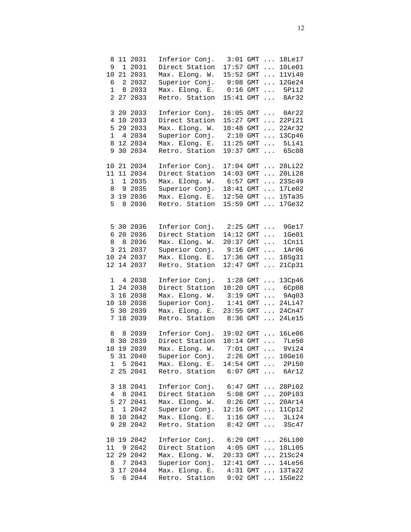| 9<br>6<br>$\mathbf{1}$ | 10 21<br>8          | 8 11 2031<br>1 2031<br>2031<br>2 2032<br>2033<br>2 27 2033               | Inferior Conj.<br>Direct Station<br>Max. Elong. W.<br>Superior Conj.<br>Max. Elong. E.<br>Retro. Station                                                       | $3:01$ GMT<br>$17:57$ GMT<br>15:52 GMT<br>$9:08$ GMT<br>$0:16$ GMT<br>15:41 | GMT                             | $\cdots$<br>$\cdots$<br>$\cdots$<br>$\cdots$ | 18Le17<br>10Le01<br>11Vi40<br>12Ge24<br>$\ldots$ 5Pi12<br>$\ldots$ 8Ar32                                                                        |
|------------------------|---------------------|--------------------------------------------------------------------------|----------------------------------------------------------------------------------------------------------------------------------------------------------------|-----------------------------------------------------------------------------|---------------------------------|----------------------------------------------|-------------------------------------------------------------------------------------------------------------------------------------------------|
|                        | 3 20                | 2033<br>4 10 2033<br>5 29 2033<br>1 4 2034<br>8 12 2034<br>9 30 2034     | Inferior Conj.<br>Direct Station<br>Max. Elong. W.<br>Superior Conj.<br>Max. Elong. E.<br>Retro. Station                                                       | 16:05<br>15:27<br>10:48<br>$2:10$ GMT<br>11:25<br>19:37                     | GMT<br>GMT<br>GMT<br>GMT<br>GMT | $\cdots$<br>$\cdots$<br>$\cdots$             | $\ldots$ 0Ar22<br>$\ldots$ 22Pi21<br>$\ldots$ 22Ar32<br>13Cp46<br>5Li41<br>6Sc08                                                                |
| $\mathbf 1$<br>8<br>5  | 1                   | 10 21 2034<br>11 11 2034<br>2035<br>9 2035<br>3 19 2036<br>8 2036        | Inferior Conj.<br>Direct Station<br>Max. Elong. W.<br>Superior Conj.<br>Max. Elong. E.<br>Retro. Station                                                       | $17:04$ GMT<br>14:03<br>6:57<br>18:41<br>12:50<br>15:59                     | GMT<br>GMT<br>GMT<br>GMT<br>GMT |                                              | $\ldots$ 28Li22<br>$\ldots$ 201128<br>23Sc49<br>$\ldots$ 17Le02<br>$\ldots$ 15Ta35<br>$\ldots$ 17Ge32                                           |
| 8<br>12                | 3 21<br>10 24<br>14 | 5 30 2036<br>6 20 2036<br>8 2036<br>2037<br>2037<br>2037                 | Inferior Conj.<br>Direct Station<br>Max. Elong. W.<br>Superior Conj.<br>Max. Elong. E.<br>Retro. Station                                                       | 2:25<br>14:12<br>$20:37$ GMT<br>$9:16$ GMT<br>17:36<br>12:47                | $GMT$<br>$GMT$<br>GMT<br>GMT    | $\cdots$<br>$\cdots$<br>$\cdots$<br>$\cdots$ | 9Ge17<br>1Ge01<br>1Cn11<br>1Ar06<br>18Sg31<br>21Cp31                                                                                            |
| $7^{\circ}$            |                     | 1 4 2038<br>1 24 2038<br>3 16 2038<br>10 18 2038<br>5 30 2039<br>18 2039 | Inferior Conj.<br>Direct Station<br>Max. Elong. W.<br>Superior Conj.<br>Max. Elong. E.<br>Retro. Station                                                       | $1:28$ GMT<br>$10:20$ GMT<br>$3:19$ GMT<br>$1:41$ GMT<br>23:55 GMT<br>8:36  | GMT                             |                                              | 13Cp46<br>$\ldots$ 6Cp08<br>$\ldots$ 9Aq03<br>$ 24$ Li47<br>$\ldots$ 24Cn47<br>$\ldots$ 24Le15                                                  |
| 8                      |                     | 8 2039<br>8 30 2039<br>10 19 2039<br>5 31 2040<br>1 5 2041<br>2 25 2041  | Inferior Conj.<br>Direct Station<br>Max. Elong. W.<br>Superior Conj. 2:26 GMT  10Ge16<br>Max. Elong. E. 14:54 GMT  2Pi50<br>Retro. Station 6:07 GMT  6Ar12     | $10:14$ GMT<br>$7:01$ GMT $\ldots$                                          |                                 |                                              | 19:02 GMT  16Le06<br>$\ldots$ 7Le50<br>9Vi24                                                                                                    |
| 1                      |                     | 3 18 2041<br>4 8 2041<br>5 27 2041<br>1 2042<br>8 10 2042<br>9 28 2042   | Inferior Conj. 6:47 GMT  28Pi02<br>Direct Station 5:08 GMT<br>Max. Elong. W. 0:26 GMT<br>Superior Conj. 12:16 GMT<br>Max. Elong. E.<br>Retro. Station 8:42 GMT | $1:16$ GMT                                                                  |                                 |                                              | $\ldots$ 20Pi03<br>$\ldots$ 20Ar14<br>$\ldots$ 11Cp12<br>$\begin{array}{cccc}\n\cdots & 3 \text{Li} 24 \\ \cdots & 3 \text{Sc} 47\n\end{array}$ |
| 11<br>5                |                     | 10 19 2042<br>9 2042<br>12 29 2042<br>8 7 2043<br>3 17 2044<br>6 2044    | Inferior Conj. 6:29 GMT  26Li00<br>Direct Station 4:05 GMT  18Li05<br>Max. Elong. W.<br>Superior Conj.<br>Max. Elong. E.<br>Retro. Station                     |                                                                             |                                 |                                              | 20:33 GMT  21Sc24<br>12:41 GMT  14Le56<br>$4:31$ GMT $13Ta22$<br>9:02 GMT  15Ge22                                                               |